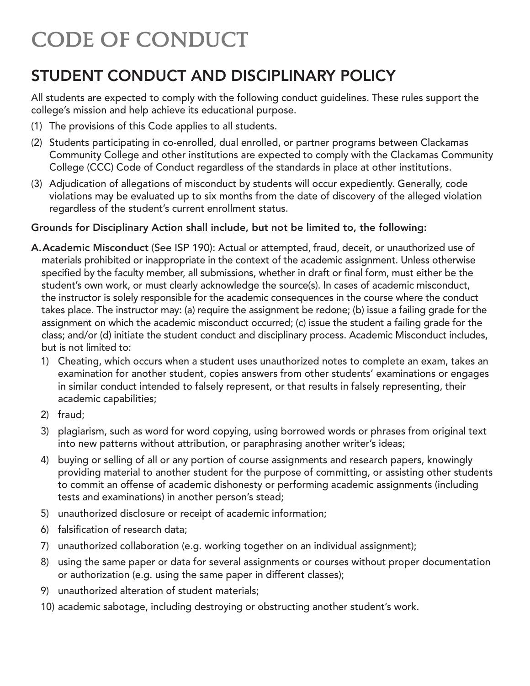# CODE OF CONDUCT

# STUDENT CONDUCT AND DISCIPLINARY POLICY

All students are expected to comply with the following conduct guidelines. These rules support the college's mission and help achieve its educational purpose.

- (1) The provisions of this Code applies to all students.
- (2) Students participating in co-enrolled, dual enrolled, or partner programs between Clackamas Community College and other institutions are expected to comply with the Clackamas Community College (CCC) Code of Conduct regardless of the standards in place at other institutions.
- (3) Adjudication of allegations of misconduct by students will occur expediently. Generally, code violations may be evaluated up to six months from the date of discovery of the alleged violation regardless of the student's current enrollment status.

#### Grounds for Disciplinary Action shall include, but not be limited to, the following:

- A. Academic Misconduct (See ISP 190): Actual or attempted, fraud, deceit, or unauthorized use of materials prohibited or inappropriate in the context of the academic assignment. Unless otherwise specified by the faculty member, all submissions, whether in draft or final form, must either be the student's own work, or must clearly acknowledge the source(s). In cases of academic misconduct, the instructor is solely responsible for the academic consequences in the course where the conduct takes place. The instructor may: (a) require the assignment be redone; (b) issue a failing grade for the assignment on which the academic misconduct occurred; (c) issue the student a failing grade for the class; and/or (d) initiate the student conduct and disciplinary process. Academic Misconduct includes, but is not limited to:
	- 1) Cheating, which occurs when a student uses unauthorized notes to complete an exam, takes an examination for another student, copies answers from other students' examinations or engages in similar conduct intended to falsely represent, or that results in falsely representing, their academic capabilities;
	- 2) fraud;
	- 3) plagiarism, such as word for word copying, using borrowed words or phrases from original text into new patterns without attribution, or paraphrasing another writer's ideas;
	- 4) buying or selling of all or any portion of course assignments and research papers, knowingly providing material to another student for the purpose of committing, or assisting other students to commit an offense of academic dishonesty or performing academic assignments (including tests and examinations) in another person's stead;
	- 5) unauthorized disclosure or receipt of academic information;
	- 6) falsification of research data;
	- 7) unauthorized collaboration (e.g. working together on an individual assignment);
	- 8) using the same paper or data for several assignments or courses without proper documentation or authorization (e.g. using the same paper in different classes);
	- 9) unauthorized alteration of student materials;
	- 10) academic sabotage, including destroying or obstructing another student's work.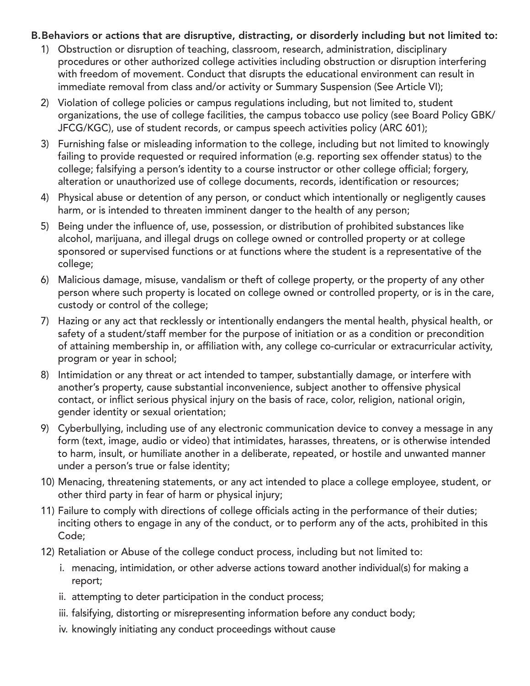#### B. Behaviors or actions that are disruptive, distracting, or disorderly including but not limited to:

- 1) Obstruction or disruption of teaching, classroom, research, administration, disciplinary procedures or other authorized college activities including obstruction or disruption interfering with freedom of movement. Conduct that disrupts the educational environment can result in immediate removal from class and/or activity or Summary Suspension (See Article VI);
- 2) Violation of college policies or campus regulations including, but not limited to, student organizations, the use of college facilities, the campus tobacco use policy (see Board Policy GBK/ JFCG/KGC), use of student records, or campus speech activities policy (ARC 601);
- 3) Furnishing false or misleading information to the college, including but not limited to knowingly failing to provide requested or required information (e.g. reporting sex offender status) to the college; falsifying a person's identity to a course instructor or other college official; forgery, alteration or unauthorized use of college documents, records, identification or resources;
- 4) Physical abuse or detention of any person, or conduct which intentionally or negligently causes harm, or is intended to threaten imminent danger to the health of any person;
- 5) Being under the influence of, use, possession, or distribution of prohibited substances like alcohol, marijuana, and illegal drugs on college owned or controlled property or at college sponsored or supervised functions or at functions where the student is a representative of the college;
- 6) Malicious damage, misuse, vandalism or theft of college property, or the property of any other person where such property is located on college owned or controlled property, or is in the care, custody or control of the college;
- 7) Hazing or any act that recklessly or intentionally endangers the mental health, physical health, or safety of a student/staff member for the purpose of initiation or as a condition or precondition of attaining membership in, or affiliation with, any college co-curricular or extracurricular activity, program or year in school;
- 8) Intimidation or any threat or act intended to tamper, substantially damage, or interfere with another's property, cause substantial inconvenience, subject another to offensive physical contact, or inflict serious physical injury on the basis of race, color, religion, national origin, gender identity or sexual orientation;
- 9) Cyberbullying, including use of any electronic communication device to convey a message in any form (text, image, audio or video) that intimidates, harasses, threatens, or is otherwise intended to harm, insult, or humiliate another in a deliberate, repeated, or hostile and unwanted manner under a person's true or false identity;
- 10) Menacing, threatening statements, or any act intended to place a college employee, student, or other third party in fear of harm or physical injury;
- 11) Failure to comply with directions of college officials acting in the performance of their duties; inciting others to engage in any of the conduct, or to perform any of the acts, prohibited in this Code;
- 12) Retaliation or Abuse of the college conduct process, including but not limited to:
	- i. menacing, intimidation, or other adverse actions toward another individual(s) for making a report;
	- ii. attempting to deter participation in the conduct process;
	- iii. falsifying, distorting or misrepresenting information before any conduct body;
	- iv. knowingly initiating any conduct proceedings without cause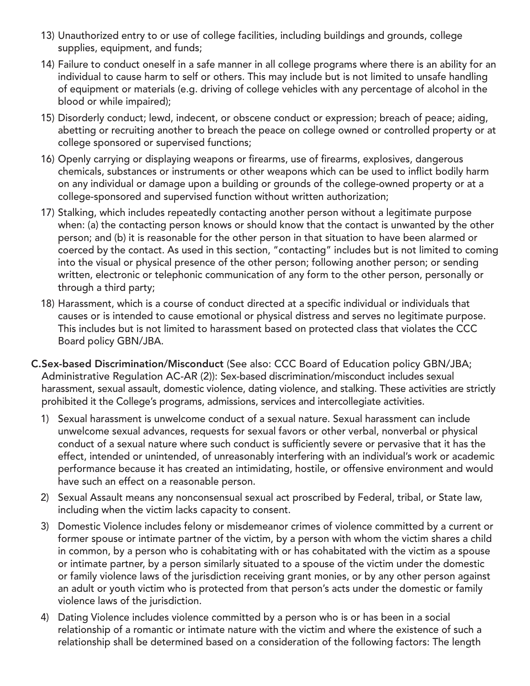- 13) Unauthorized entry to or use of college facilities, including buildings and grounds, college supplies, equipment, and funds;
- 14) Failure to conduct oneself in a safe manner in all college programs where there is an ability for an individual to cause harm to self or others. This may include but is not limited to unsafe handling of equipment or materials (e.g. driving of college vehicles with any percentage of alcohol in the blood or while impaired);
- 15) Disorderly conduct; lewd, indecent, or obscene conduct or expression; breach of peace; aiding, abetting or recruiting another to breach the peace on college owned or controlled property or at college sponsored or supervised functions;
- 16) Openly carrying or displaying weapons or firearms, use of firearms, explosives, dangerous chemicals, substances or instruments or other weapons which can be used to inflict bodily harm on any individual or damage upon a building or grounds of the college-owned property or at a college-sponsored and supervised function without written authorization;
- 17) Stalking, which includes repeatedly contacting another person without a legitimate purpose when: (a) the contacting person knows or should know that the contact is unwanted by the other person; and (b) it is reasonable for the other person in that situation to have been alarmed or coerced by the contact. As used in this section, "contacting" includes but is not limited to coming into the visual or physical presence of the other person; following another person; or sending written, electronic or telephonic communication of any form to the other person, personally or through a third party;
- 18) Harassment, which is a course of conduct directed at a specific individual or individuals that causes or is intended to cause emotional or physical distress and serves no legitimate purpose. This includes but is not limited to harassment based on protected class that violates the CCC Board policy GBN/JBA.
- C. Sex-based Discrimination/Misconduct (See also: CCC Board of Education policy GBN/JBA; Administrative Regulation AC-AR (2)): Sex-based discrimination/misconduct includes sexual harassment, sexual assault, domestic violence, dating violence, and stalking. These activities are strictly prohibited it the College's programs, admissions, services and intercollegiate activities.
	- 1) Sexual harassment is unwelcome conduct of a sexual nature. Sexual harassment can include unwelcome sexual advances, requests for sexual favors or other verbal, nonverbal or physical conduct of a sexual nature where such conduct is sufficiently severe or pervasive that it has the effect, intended or unintended, of unreasonably interfering with an individual's work or academic performance because it has created an intimidating, hostile, or offensive environment and would have such an effect on a reasonable person.
	- 2) Sexual Assault means any nonconsensual sexual act proscribed by Federal, tribal, or State law, including when the victim lacks capacity to consent.
	- 3) Domestic Violence includes felony or misdemeanor crimes of violence committed by a current or former spouse or intimate partner of the victim, by a person with whom the victim shares a child in common, by a person who is cohabitating with or has cohabitated with the victim as a spouse or intimate partner, by a person similarly situated to a spouse of the victim under the domestic or family violence laws of the jurisdiction receiving grant monies, or by any other person against an adult or youth victim who is protected from that person's acts under the domestic or family violence laws of the jurisdiction.
	- 4) Dating Violence includes violence committed by a person who is or has been in a social relationship of a romantic or intimate nature with the victim and where the existence of such a relationship shall be determined based on a consideration of the following factors: The length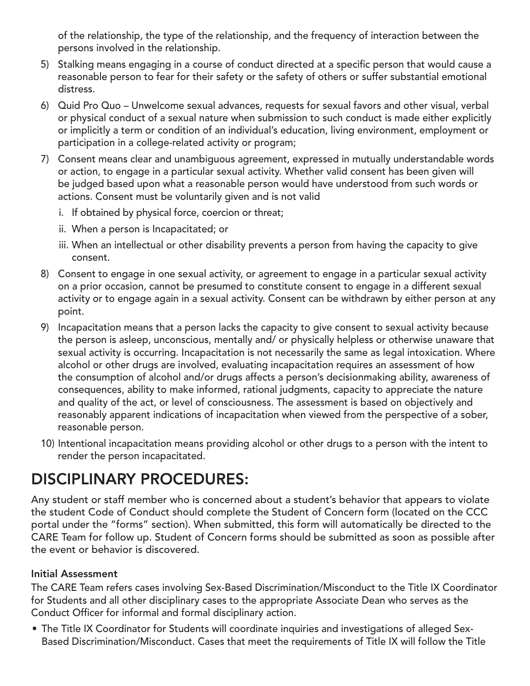of the relationship, the type of the relationship, and the frequency of interaction between the persons involved in the relationship.

- 5) Stalking means engaging in a course of conduct directed at a specific person that would cause a reasonable person to fear for their safety or the safety of others or suffer substantial emotional distress.
- 6) Quid Pro Quo Unwelcome sexual advances, requests for sexual favors and other visual, verbal or physical conduct of a sexual nature when submission to such conduct is made either explicitly or implicitly a term or condition of an individual's education, living environment, employment or participation in a college-related activity or program;
- 7) Consent means clear and unambiguous agreement, expressed in mutually understandable words or action, to engage in a particular sexual activity. Whether valid consent has been given will be judged based upon what a reasonable person would have understood from such words or actions. Consent must be voluntarily given and is not valid
	- i. If obtained by physical force, coercion or threat;
	- ii. When a person is Incapacitated; or
	- iii. When an intellectual or other disability prevents a person from having the capacity to give consent.
- 8) Consent to engage in one sexual activity, or agreement to engage in a particular sexual activity on a prior occasion, cannot be presumed to constitute consent to engage in a different sexual activity or to engage again in a sexual activity. Consent can be withdrawn by either person at any point.
- 9) Incapacitation means that a person lacks the capacity to give consent to sexual activity because the person is asleep, unconscious, mentally and/ or physically helpless or otherwise unaware that sexual activity is occurring. Incapacitation is not necessarily the same as legal intoxication. Where alcohol or other drugs are involved, evaluating incapacitation requires an assessment of how the consumption of alcohol and/or drugs affects a person's decisionmaking ability, awareness of consequences, ability to make informed, rational judgments, capacity to appreciate the nature and quality of the act, or level of consciousness. The assessment is based on objectively and reasonably apparent indications of incapacitation when viewed from the perspective of a sober, reasonable person.
- 10) Intentional incapacitation means providing alcohol or other drugs to a person with the intent to render the person incapacitated.

# DISCIPLINARY PROCEDURES:

Any student or staff member who is concerned about a student's behavior that appears to violate the student Code of Conduct should complete the Student of Concern form (located on the CCC portal under the "forms" section). When submitted, this form will automatically be directed to the CARE Team for follow up. Student of Concern forms should be submitted as soon as possible after the event or behavior is discovered.

#### Initial Assessment

The CARE Team refers cases involving Sex-Based Discrimination/Misconduct to the Title IX Coordinator for Students and all other disciplinary cases to the appropriate Associate Dean who serves as the Conduct Officer for informal and formal disciplinary action.

• The Title IX Coordinator for Students will coordinate inquiries and investigations of alleged Sex-Based Discrimination/Misconduct. Cases that meet the requirements of Title IX will follow the Title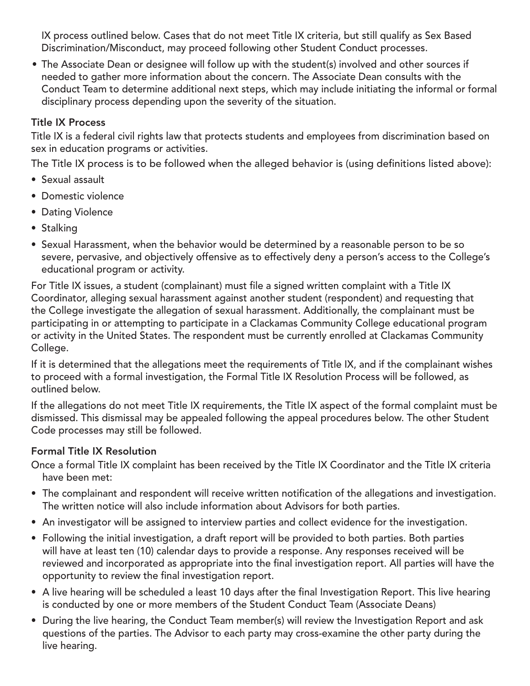IX process outlined below. Cases that do not meet Title IX criteria, but still qualify as Sex Based Discrimination/Misconduct, may proceed following other Student Conduct processes.

• The Associate Dean or designee will follow up with the student(s) involved and other sources if needed to gather more information about the concern. The Associate Dean consults with the Conduct Team to determine additional next steps, which may include initiating the informal or formal disciplinary process depending upon the severity of the situation.

### Title IX Process

Title IX is a federal civil rights law that protects students and employees from discrimination based on sex in education programs or activities.

The Title IX process is to be followed when the alleged behavior is (using definitions listed above):

- Sexual assault
- Domestic violence
- Dating Violence
- Stalking
- Sexual Harassment, when the behavior would be determined by a reasonable person to be so severe, pervasive, and objectively offensive as to effectively deny a person's access to the College's educational program or activity.

For Title IX issues, a student (complainant) must file a signed written complaint with a Title IX Coordinator, alleging sexual harassment against another student (respondent) and requesting that the College investigate the allegation of sexual harassment. Additionally, the complainant must be participating in or attempting to participate in a Clackamas Community College educational program or activity in the United States. The respondent must be currently enrolled at Clackamas Community College.

If it is determined that the allegations meet the requirements of Title IX, and if the complainant wishes to proceed with a formal investigation, the Formal Title IX Resolution Process will be followed, as outlined below.

If the allegations do not meet Title IX requirements, the Title IX aspect of the formal complaint must be dismissed. This dismissal may be appealed following the appeal procedures below. The other Student Code processes may still be followed.

#### Formal Title IX Resolution

Once a formal Title IX complaint has been received by the Title IX Coordinator and the Title IX criteria have been met:

- The complainant and respondent will receive written notification of the allegations and investigation. The written notice will also include information about Advisors for both parties.
- An investigator will be assigned to interview parties and collect evidence for the investigation.
- Following the initial investigation, a draft report will be provided to both parties. Both parties will have at least ten (10) calendar days to provide a response. Any responses received will be reviewed and incorporated as appropriate into the final investigation report. All parties will have the opportunity to review the final investigation report.
- A live hearing will be scheduled a least 10 days after the final Investigation Report. This live hearing is conducted by one or more members of the Student Conduct Team (Associate Deans)
- During the live hearing, the Conduct Team member(s) will review the Investigation Report and ask questions of the parties. The Advisor to each party may cross-examine the other party during the live hearing.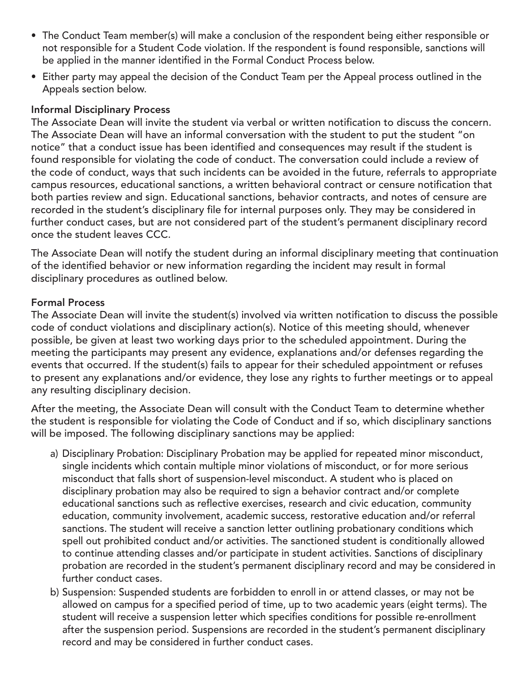- The Conduct Team member(s) will make a conclusion of the respondent being either responsible or not responsible for a Student Code violation. If the respondent is found responsible, sanctions will be applied in the manner identified in the Formal Conduct Process below.
- Either party may appeal the decision of the Conduct Team per the Appeal process outlined in the Appeals section below.

#### Informal Disciplinary Process

The Associate Dean will invite the student via verbal or written notification to discuss the concern. The Associate Dean will have an informal conversation with the student to put the student "on notice" that a conduct issue has been identified and consequences may result if the student is found responsible for violating the code of conduct. The conversation could include a review of the code of conduct, ways that such incidents can be avoided in the future, referrals to appropriate campus resources, educational sanctions, a written behavioral contract or censure notification that both parties review and sign. Educational sanctions, behavior contracts, and notes of censure are recorded in the student's disciplinary file for internal purposes only. They may be considered in further conduct cases, but are not considered part of the student's permanent disciplinary record once the student leaves CCC.

The Associate Dean will notify the student during an informal disciplinary meeting that continuation of the identified behavior or new information regarding the incident may result in formal disciplinary procedures as outlined below.

#### Formal Process

The Associate Dean will invite the student(s) involved via written notification to discuss the possible code of conduct violations and disciplinary action(s). Notice of this meeting should, whenever possible, be given at least two working days prior to the scheduled appointment. During the meeting the participants may present any evidence, explanations and/or defenses regarding the events that occurred. If the student(s) fails to appear for their scheduled appointment or refuses to present any explanations and/or evidence, they lose any rights to further meetings or to appeal any resulting disciplinary decision.

After the meeting, the Associate Dean will consult with the Conduct Team to determine whether the student is responsible for violating the Code of Conduct and if so, which disciplinary sanctions will be imposed. The following disciplinary sanctions may be applied:

- a) Disciplinary Probation: Disciplinary Probation may be applied for repeated minor misconduct, single incidents which contain multiple minor violations of misconduct, or for more serious misconduct that falls short of suspension-level misconduct. A student who is placed on disciplinary probation may also be required to sign a behavior contract and/or complete educational sanctions such as reflective exercises, research and civic education, community education, community involvement, academic success, restorative education and/or referral sanctions. The student will receive a sanction letter outlining probationary conditions which spell out prohibited conduct and/or activities. The sanctioned student is conditionally allowed to continue attending classes and/or participate in student activities. Sanctions of disciplinary probation are recorded in the student's permanent disciplinary record and may be considered in further conduct cases.
- b) Suspension: Suspended students are forbidden to enroll in or attend classes, or may not be allowed on campus for a specified period of time, up to two academic years (eight terms). The student will receive a suspension letter which specifies conditions for possible re-enrollment after the suspension period. Suspensions are recorded in the student's permanent disciplinary record and may be considered in further conduct cases.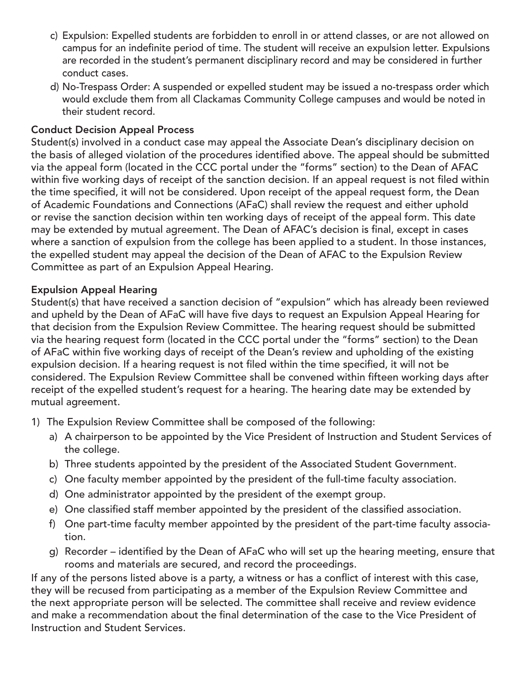- c) Expulsion: Expelled students are forbidden to enroll in or attend classes, or are not allowed on campus for an indefinite period of time. The student will receive an expulsion letter. Expulsions are recorded in the student's permanent disciplinary record and may be considered in further conduct cases.
- d) No-Trespass Order: A suspended or expelled student may be issued a no-trespass order which would exclude them from all Clackamas Community College campuses and would be noted in their student record.

#### Conduct Decision Appeal Process

Student(s) involved in a conduct case may appeal the Associate Dean's disciplinary decision on the basis of alleged violation of the procedures identified above. The appeal should be submitted via the appeal form (located in the CCC portal under the "forms" section) to the Dean of AFAC within five working days of receipt of the sanction decision. If an appeal request is not filed within the time specified, it will not be considered. Upon receipt of the appeal request form, the Dean of Academic Foundations and Connections (AFaC) shall review the request and either uphold or revise the sanction decision within ten working days of receipt of the appeal form. This date may be extended by mutual agreement. The Dean of AFAC's decision is final, except in cases where a sanction of expulsion from the college has been applied to a student. In those instances, the expelled student may appeal the decision of the Dean of AFAC to the Expulsion Review Committee as part of an Expulsion Appeal Hearing.

## Expulsion Appeal Hearing

Student(s) that have received a sanction decision of "expulsion" which has already been reviewed and upheld by the Dean of AFaC will have five days to request an Expulsion Appeal Hearing for that decision from the Expulsion Review Committee. The hearing request should be submitted via the hearing request form (located in the CCC portal under the "forms" section) to the Dean of AFaC within five working days of receipt of the Dean's review and upholding of the existing expulsion decision. If a hearing request is not filed within the time specified, it will not be considered. The Expulsion Review Committee shall be convened within fifteen working days after receipt of the expelled student's request for a hearing. The hearing date may be extended by mutual agreement.

- 1) The Expulsion Review Committee shall be composed of the following:
	- a) A chairperson to be appointed by the Vice President of Instruction and Student Services of the college.
	- b) Three students appointed by the president of the Associated Student Government.
	- c) One faculty member appointed by the president of the full-time faculty association.
	- d) One administrator appointed by the president of the exempt group.
	- e) One classified staff member appointed by the president of the classified association.
	- f) One part-time faculty member appointed by the president of the part-time faculty association.
	- g) Recorder identified by the Dean of AFaC who will set up the hearing meeting, ensure that rooms and materials are secured, and record the proceedings.

If any of the persons listed above is a party, a witness or has a conflict of interest with this case, they will be recused from participating as a member of the Expulsion Review Committee and the next appropriate person will be selected. The committee shall receive and review evidence and make a recommendation about the final determination of the case to the Vice President of Instruction and Student Services.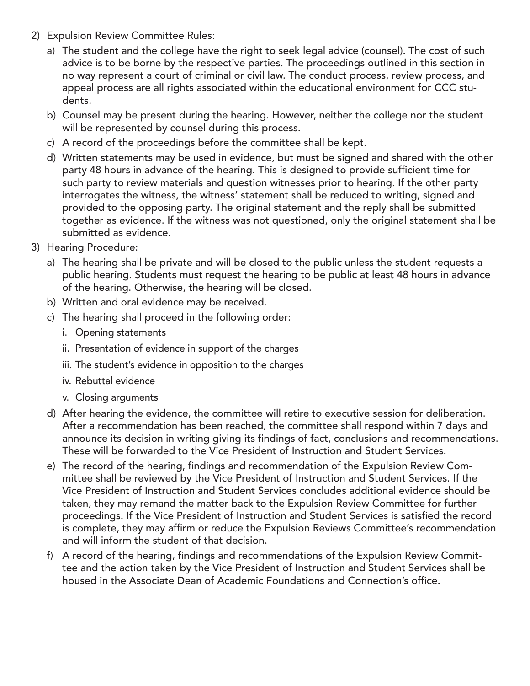- 2) Expulsion Review Committee Rules:
	- a) The student and the college have the right to seek legal advice (counsel). The cost of such advice is to be borne by the respective parties. The proceedings outlined in this section in no way represent a court of criminal or civil law. The conduct process, review process, and appeal process are all rights associated within the educational environment for CCC students.
	- b) Counsel may be present during the hearing. However, neither the college nor the student will be represented by counsel during this process.
	- c) A record of the proceedings before the committee shall be kept.
	- d) Written statements may be used in evidence, but must be signed and shared with the other party 48 hours in advance of the hearing. This is designed to provide sufficient time for such party to review materials and question witnesses prior to hearing. If the other party interrogates the witness, the witness' statement shall be reduced to writing, signed and provided to the opposing party. The original statement and the reply shall be submitted together as evidence. If the witness was not questioned, only the original statement shall be submitted as evidence.
- 3) Hearing Procedure:
	- a) The hearing shall be private and will be closed to the public unless the student requests a public hearing. Students must request the hearing to be public at least 48 hours in advance of the hearing. Otherwise, the hearing will be closed.
	- b) Written and oral evidence may be received.
	- c) The hearing shall proceed in the following order:
		- i. Opening statements
		- ii. Presentation of evidence in support of the charges
		- iii. The student's evidence in opposition to the charges
		- iv. Rebuttal evidence
		- v. Closing arguments
	- d) After hearing the evidence, the committee will retire to executive session for deliberation. After a recommendation has been reached, the committee shall respond within 7 days and announce its decision in writing giving its findings of fact, conclusions and recommendations. These will be forwarded to the Vice President of Instruction and Student Services.
	- e) The record of the hearing, findings and recommendation of the Expulsion Review Committee shall be reviewed by the Vice President of Instruction and Student Services. If the Vice President of Instruction and Student Services concludes additional evidence should be taken, they may remand the matter back to the Expulsion Review Committee for further proceedings. If the Vice President of Instruction and Student Services is satisfied the record is complete, they may affirm or reduce the Expulsion Reviews Committee's recommendation and will inform the student of that decision.
	- f) A record of the hearing, findings and recommendations of the Expulsion Review Committee and the action taken by the Vice President of Instruction and Student Services shall be housed in the Associate Dean of Academic Foundations and Connection's office.